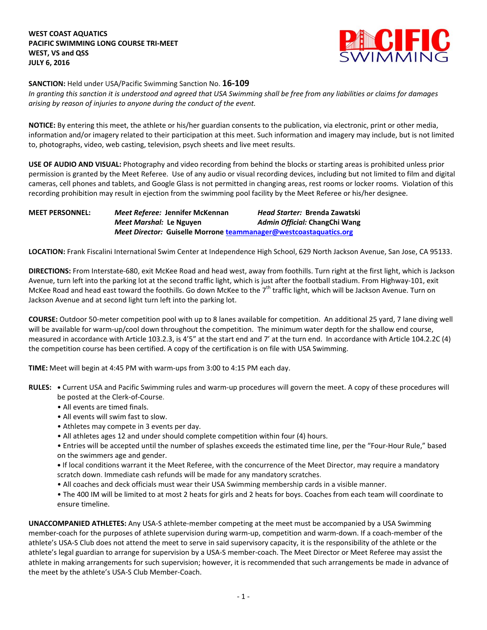

**SANCTION:** Held under USA/Pacific Swimming Sanction No. **16-109**

*In granting this sanction it is understood and agreed that USA Swimming shall be free from any liabilities or claims for damages arising by reason of injuries to anyone during the conduct of the event.*

**NOTICE:** By entering this meet, the athlete or his/her guardian consents to the publication, via electronic, print or other media, information and/or imagery related to their participation at this meet. Such information and imagery may include, but is not limited to, photographs, video, web casting, television, psych sheets and live meet results.

**USE OF AUDIO AND VISUAL:** Photography and video recording from behind the blocks or starting areas is prohibited unless prior permission is granted by the Meet Referee. Use of any audio or visual recording devices, including but not limited to film and digital cameras, cell phones and tablets, and Google Glass is not permitted in changing areas, rest rooms or locker rooms. Violation of this recording prohibition may result in ejection from the swimming pool facility by the Meet Referee or his/her designee.

**MEET PERSONNEL:** *Meet Referee:* **Jennifer McKennan** *Head Starter:* **Brenda Zawatski** *Meet Marshal:* **Le Nguyen** *Admin Official:* **ChangChi Wang** *Meet Director:* **Guiselle Morrone [teammanager@westcoastaquatics.org](mailto:teammanager@westcoastaquatics.org)**

**LOCATION:** Frank Fiscalini International Swim Center at Independence High School, 629 North Jackson Avenue, San Jose, CA 95133.

**DIRECTIONS:** From Interstate-680, exit McKee Road and head west, away from foothills. Turn right at the first light, which is Jackson Avenue, turn left into the parking lot at the second traffic light, which is just after the football stadium. From Highway-101, exit McKee Road and head east toward the foothills. Go down McKee to the 7<sup>th</sup> traffic light, which will be Jackson Avenue. Turn on Jackson Avenue and at second light turn left into the parking lot.

**COURSE:** Outdoor 50-meter competition pool with up to 8 lanes available for competition. An additional 25 yard, 7 lane diving well will be available for warm-up/cool down throughout the competition. The minimum water depth for the shallow end course, measured in accordance with Article 103.2.3, is 4'5" at the start end and 7' at the turn end. In accordance with Article 104.2.2C (4) the competition course has been certified. A copy of the certification is on file with USA Swimming.

**TIME:** Meet will begin at 4:45 PM with warm-ups from 3:00 to 4:15 PM each day.

- **RULES: •** Current USA and Pacific Swimming rules and warm-up procedures will govern the meet. A copy of these procedures will be posted at the Clerk-of-Course.
	- All events are timed finals.
	- All events will swim fast to slow.
	- Athletes may compete in 3 events per day.
	- All athletes ages 12 and under should complete competition within four (4) hours.
	- Entries will be accepted until the number of splashes exceeds the estimated time line, per the "Four-Hour Rule," based on the swimmers age and gender.
	- **•** If local conditions warrant it the Meet Referee, with the concurrence of the Meet Director, may require a mandatory scratch down. Immediate cash refunds will be made for any mandatory scratches.
	- All coaches and deck officials must wear their USA Swimming membership cards in a visible manner.
	- The 400 IM will be limited to at most 2 heats for girls and 2 heats for boys. Coaches from each team will coordinate to ensure timeline.

**UNACCOMPANIED ATHLETES:** Any USA-S athlete-member competing at the meet must be accompanied by a USA Swimming member-coach for the purposes of athlete supervision during warm-up, competition and warm-down. If a coach-member of the athlete's USA-S Club does not attend the meet to serve in said supervisory capacity, it is the responsibility of the athlete or the athlete's legal guardian to arrange for supervision by a USA-S member-coach. The Meet Director or Meet Referee may assist the athlete in making arrangements for such supervision; however, it is recommended that such arrangements be made in advance of the meet by the athlete's USA-S Club Member-Coach.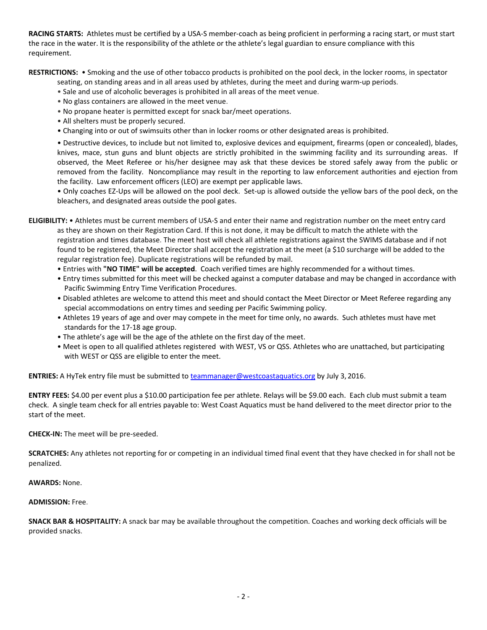**RACING STARTS:** Athletes must be certified by a USA-S member-coach as being proficient in performing a racing start, or must start the race in the water. It is the responsibility of the athlete or the athlete's legal guardian to ensure compliance with this requirement.

**RESTRICTIONS:** • Smoking and the use of other tobacco products is prohibited on the pool deck, in the locker rooms, in spectator

seating, on standing areas and in all areas used by athletes, during the meet and during warm-up periods.

- Sale and use of alcoholic beverages is prohibited in all areas of the meet venue.
- No glass containers are allowed in the meet venue.
- No propane heater is permitted except for snack bar/meet operations.
- All shelters must be properly secured.
- Changing into or out of swimsuits other than in locker rooms or other designated areas is prohibited.

• Destructive devices, to include but not limited to, explosive devices and equipment, firearms (open or concealed), blades, knives, mace, stun guns and blunt objects are strictly prohibited in the swimming facility and its surrounding areas. If observed, the Meet Referee or his/her designee may ask that these devices be stored safely away from the public or removed from the facility. Noncompliance may result in the reporting to law enforcement authorities and ejection from the facility. Law enforcement officers (LEO) are exempt per applicable laws.

• Only coaches EZ-Ups will be allowed on the pool deck. Set-up is allowed outside the yellow bars of the pool deck, on the bleachers, and designated areas outside the pool gates.

**ELIGIBILITY:** • Athletes must be current members of USA-S and enter their name and registration number on the meet entry card as they are shown on their Registration Card. If this is not done, it may be difficult to match the athlete with the registration and times database. The meet host will check all athlete registrations against the SWIMS database and if not found to be registered, the Meet Director shall accept the registration at the meet (a \$10 surcharge will be added to the regular registration fee). Duplicate registrations will be refunded by mail.

- Entries with **"NO TIME" will be accepted**. Coach verified times are highly recommended for a without times.
- Entry times submitted for this meet will be checked against a computer database and may be changed in accordance with Pacific Swimming Entry Time Verification Procedures.
- Disabled athletes are welcome to attend this meet and should contact the Meet Director or Meet Referee regarding any special accommodations on entry times and seeding per Pacific Swimming policy.
- Athletes 19 years of age and over may compete in the meet for time only, no awards. Such athletes must have met standards for the 17-18 age group.
- The athlete's age will be the age of the athlete on the first day of the meet.
- Meet is open to all qualified athletes registered with WEST, VS or QSS. Athletes who are unattached, but participating with WEST or QSS are eligible to enter the meet.

**ENTRIES:** A HyTek entry file must be submitted t[o teammanager@westcoastaquatics.org](mailto:teammanager@westcoastaquatics.org) by July 3, 2016.

**ENTRY FEES:** \$4.00 per event plus a \$10.00 participation fee per athlete. Relays will be \$9.00 each. Each club must submit a team check. A single team check for all entries payable to: West Coast Aquatics must be hand delivered to the meet director prior to the start of the meet.

**CHECK-IN:** The meet will be pre-seeded.

**SCRATCHES:** Any athletes not reporting for or competing in an individual timed final event that they have checked in for shall not be penalized.

**AWARDS:** None.

**ADMISSION:** Free.

**SNACK BAR & HOSPITALITY:** A snack bar may be available throughout the competition. Coaches and working deck officials will be provided snacks.